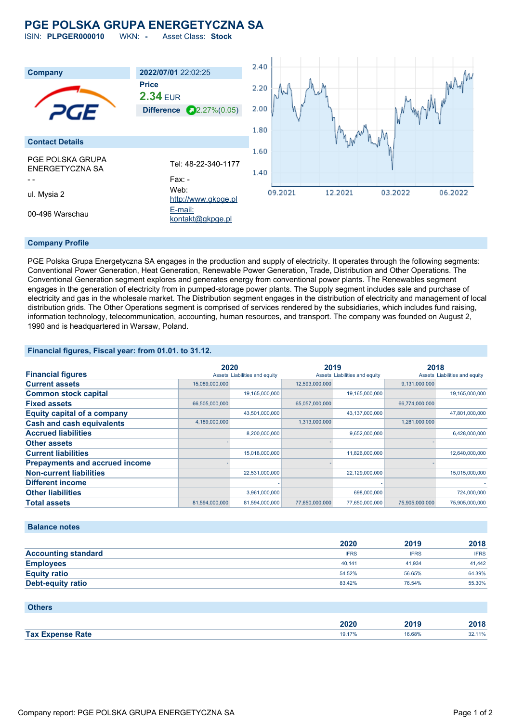# **PGE POLSKA GRUPA ENERGETYCZNA SA**

ISIN: **PLPGER000010** WKN: **-** Asset Class: **Stock**



## **Company Profile**

PGE Polska Grupa Energetyczna SA engages in the production and supply of electricity. It operates through the following segments: Conventional Power Generation, Heat Generation, Renewable Power Generation, Trade, Distribution and Other Operations. The Conventional Generation segment explores and generates energy from conventional power plants. The Renewables segment engages in the generation of electricity from in pumped-storage power plants. The Supply segment includes sale and purchase of electricity and gas in the wholesale market. The Distribution segment engages in the distribution of electricity and management of local distribution grids. The Other Operations segment is comprised of services rendered by the subsidiaries, which includes fund raising, information technology, telecommunication, accounting, human resources, and transport. The company was founded on August 2, 1990 and is headquartered in Warsaw, Poland.

## **Financial figures, Fiscal year: from 01.01. to 31.12.**

|                                       | 2020           |                               | 2019           |                               | 2018           |                               |
|---------------------------------------|----------------|-------------------------------|----------------|-------------------------------|----------------|-------------------------------|
| <b>Financial figures</b>              |                | Assets Liabilities and equity |                | Assets Liabilities and equity |                | Assets Liabilities and equity |
| <b>Current assets</b>                 | 15,089,000,000 |                               | 12,593,000,000 |                               | 9,131,000,000  |                               |
| <b>Common stock capital</b>           |                | 19,165,000,000                |                | 19,165,000,000                |                | 19,165,000,000                |
| <b>Fixed assets</b>                   | 66,505,000,000 |                               | 65,057,000,000 |                               | 66,774,000,000 |                               |
| <b>Equity capital of a company</b>    |                | 43,501,000,000                |                | 43,137,000,000                |                | 47,801,000,000                |
| <b>Cash and cash equivalents</b>      | 4,189,000,000  |                               | 1,313,000,000  |                               | 1,281,000,000  |                               |
| <b>Accrued liabilities</b>            |                | 8,200,000,000                 |                | 9,652,000,000                 |                | 6,428,000,000                 |
| <b>Other assets</b>                   |                |                               |                |                               |                |                               |
| <b>Current liabilities</b>            |                | 15,018,000,000                |                | 11,826,000,000                |                | 12,640,000,000                |
| <b>Prepayments and accrued income</b> |                |                               |                |                               |                |                               |
| <b>Non-current liabilities</b>        |                | 22,531,000,000                |                | 22,129,000,000                |                | 15,015,000,000                |
| <b>Different income</b>               |                |                               |                |                               |                |                               |
| <b>Other liabilities</b>              |                | 3,961,000,000                 |                | 698,000,000                   |                | 724,000,000                   |
| <b>Total assets</b>                   | 81,594,000,000 | 81,594,000,000                | 77,650,000,000 | 77,650,000,000                | 75,905,000,000 | 75.905.000.000                |

#### **Balance notes**

|                            | 2020        | 2019        | 2018        |
|----------------------------|-------------|-------------|-------------|
| <b>Accounting standard</b> | <b>IFRS</b> | <b>IFRS</b> | <b>IFRS</b> |
| <b>Employees</b>           | 40.141      | 41.934      | 41.442      |
| <b>Equity ratio</b>        | 54.52%      | 56.65%      | 64.39%      |
| <b>Debt-equity ratio</b>   | 83.42%      | 76.54%      | 55.30%      |

| <b>Others</b>           |        |        |        |
|-------------------------|--------|--------|--------|
|                         | 2020   | 2019   | 2018   |
| <b>Tax Expense Rate</b> | 19.17% | 16.68% | 32.11% |